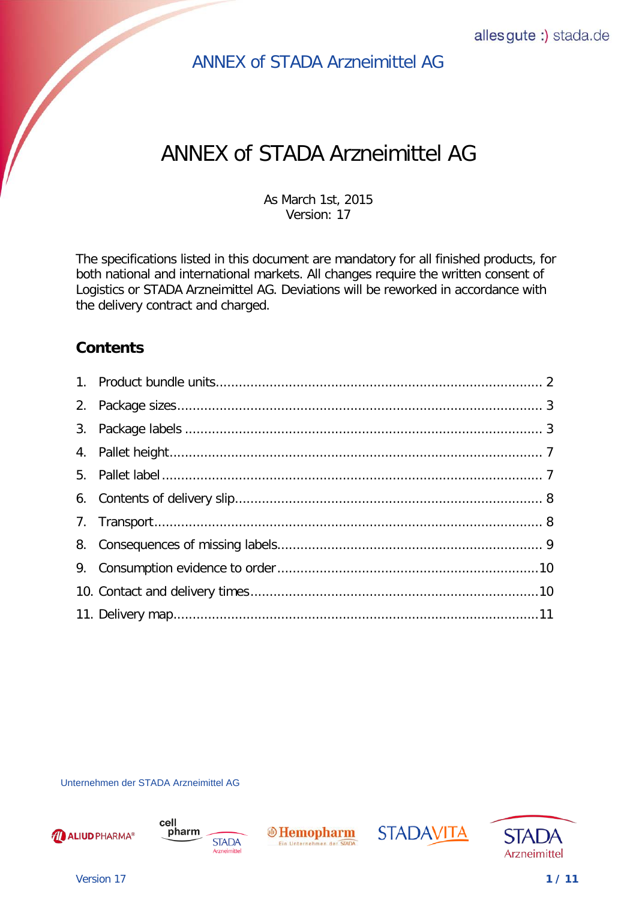# ANNEX of STADA Arzneimittel AG

As March 1st, 2015 Version: 17

The specifications listed in this document are mandatory for all finished products, for both national and international markets. All changes require the written consent of Logistics or STADA Arzneimittel AG. Deviations will be reworked in accordance with the delivery contract and charged.

## <span id="page-0-0"></span>**Contents**

Unternehmen der STADA Arzneimittel AG









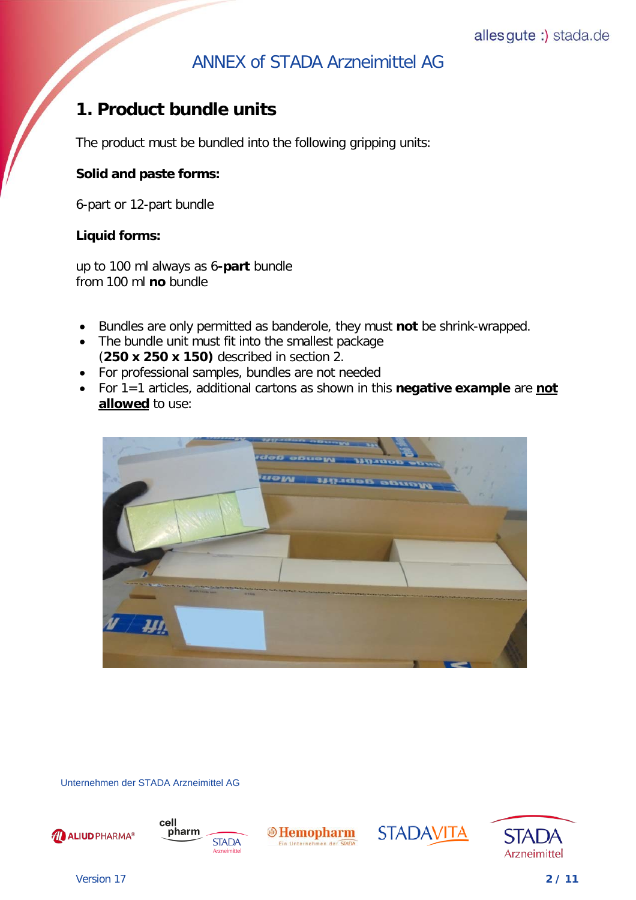# <span id="page-1-0"></span>**[1. Product bundle units](#page-0-0)**

The product must be bundled into the following gripping units:

#### **Solid and paste forms:**

6-part or 12-part bundle

#### **Liquid forms:**

up to 100 ml always as 6**-part** bundle from 100 ml **no** bundle

- Bundles are only permitted as banderole, they must **not** be shrink-wrapped.
- The bundle unit must fit into the smallest package (**250 x 250 x 150)** described in section 2.
- For professional samples, bundles are not needed
- For 1=1 articles, additional cartons as shown in this **negative example** are **not allowed** to use:



Unternehmen der STADA Arzneimittel AG









**STADAVITA** 

Version 17 **2 / 11**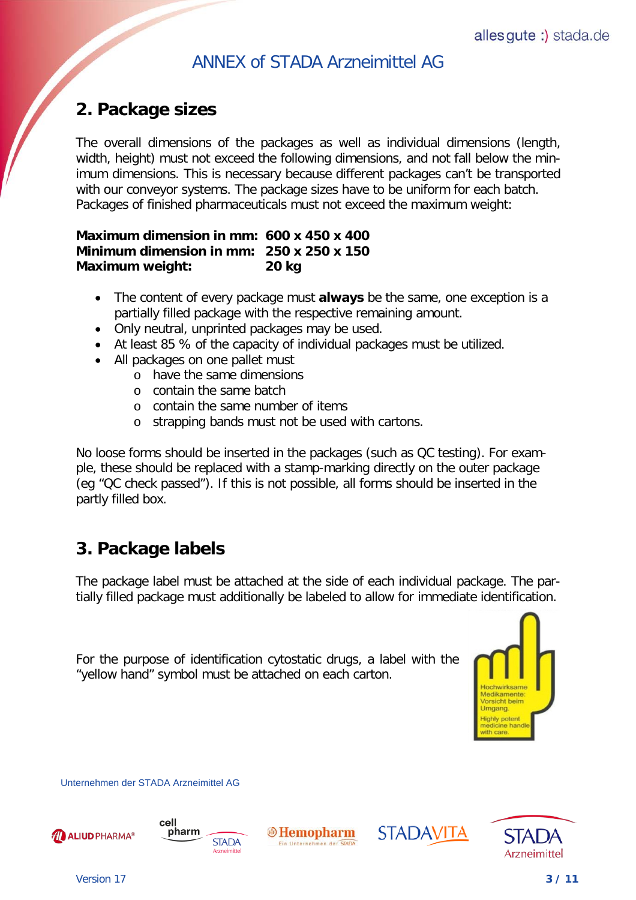# <span id="page-2-0"></span>**[2. Package sizes](#page-0-0)**

The overall dimensions of the packages as well as individual dimensions (length, width, height) must not exceed the following dimensions, and not fall below the minimum dimensions. This is necessary because different packages can't be transported with our conveyor systems. The package sizes have to be uniform for each batch. Packages of finished pharmaceuticals must not exceed the maximum weight:

#### **Maximum dimension in mm: 600 x 450 x 400 Minimum dimension in mm: 250 x 250 x 150 Maximum weight: 20 kg**

- The content of every package must **always** be the same, one exception is a partially filled package with the respective remaining amount.
- Only neutral, unprinted packages may be used.
- At least 85 % of the capacity of individual packages must be utilized.
- All packages on one pallet must
	- o have the same dimensions
	- o contain the same batch
	- o contain the same number of items
	- o strapping bands must not be used with cartons.

No loose forms should be inserted in the packages (such as QC testing). For example, these should be replaced with a stamp-marking directly on the outer package (eg "QC check passed"). If this is not possible, all forms should be inserted in the partly filled box.

# <span id="page-2-1"></span>**[3. Package labels](#page-0-0)**

The package label must be attached at the side of each individual package. The partially filled package must additionally be labeled to allow for immediate identification.

For the purpose of identification cytostatic drugs, a label with the "yellow hand" symbol must be attached on each carton.



Unternehmen der STADA Arzneimittel AG







STADAVITA



Version 17 **3 / 11**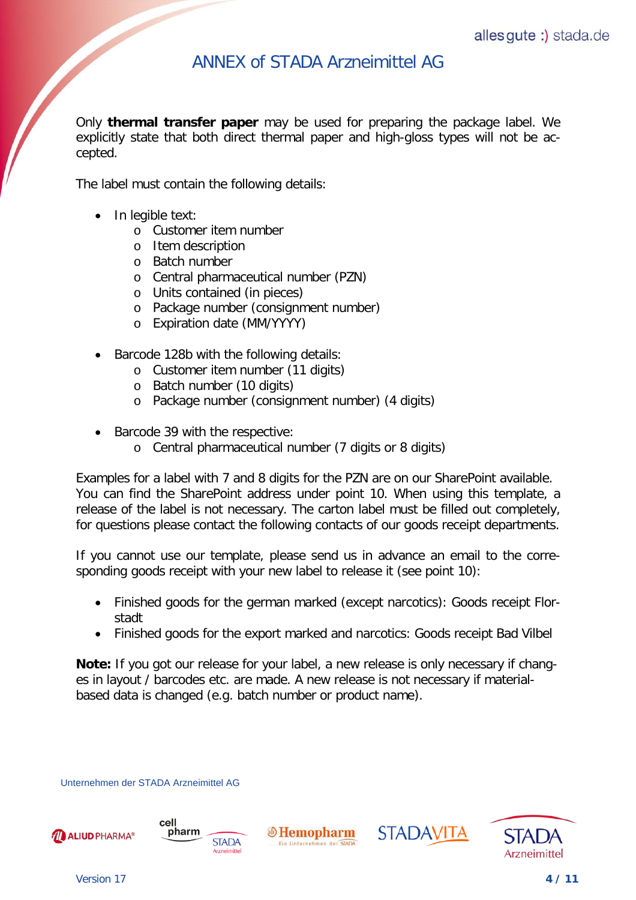Only **thermal transfer paper** may be used for preparing the package label. We explicitly state that both direct thermal paper and high-gloss types will not be accepted.

The label must contain the following details:

• In legible text:

- o Customer item number
- o Item description
- o Batch number
- o Central pharmaceutical number (PZN)
- o Units contained (in pieces)
- o Package number (consignment number)
- o Expiration date (MM/YYYY)
- Barcode 128b with the following details:
	- o Customer item number (11 digits)
	- o Batch number (10 digits)
	- o Package number (consignment number) (4 digits)
- Barcode 39 with the respective:
	- o Central pharmaceutical number (7 digits or 8 digits)

Examples for a label with 7 and 8 digits for the PZN are on our SharePoint available. You can find the SharePoint address under point 10. When using this template, a release of the label is not necessary. The carton label must be filled out completely, for questions please contact the following contacts of our goods receipt departments.

If you cannot use our template, please send us in advance an email to the corresponding goods receipt with your new label to release it (see point 10):

- Finished goods for the german marked (except narcotics): Goods receipt Florstadt
- Finished goods for the export marked and narcotics: Goods receipt Bad Vilbel

**Note:** If you got our release for your label, a new release is only necessary if changes in layout / barcodes etc. are made. A new release is not necessary if materialbased data is changed (e.g. batch number or product name).

Unternehmen der STADA Arzneimittel AG



cell



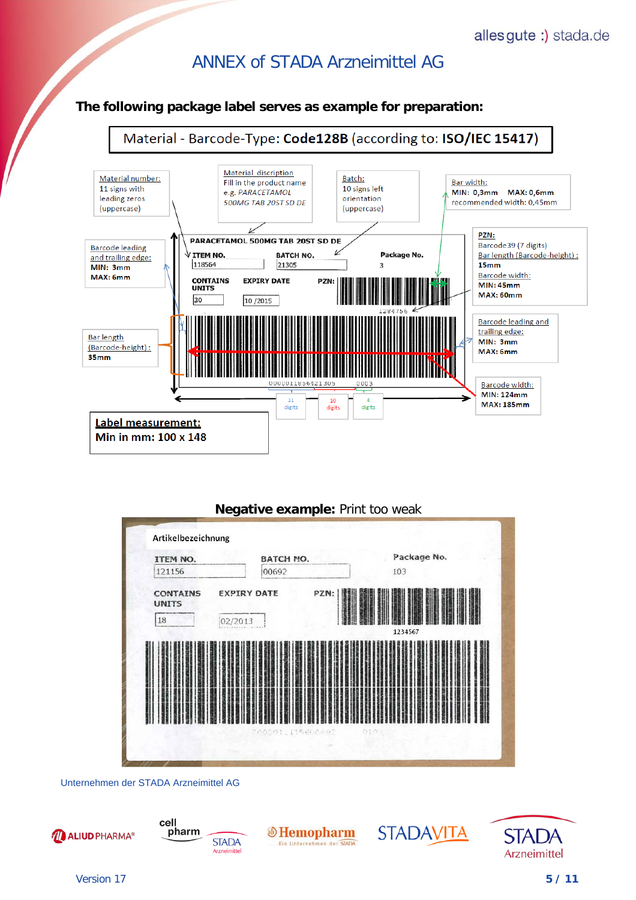#### allesgute :) stada.de

### ANNEX of STADA Arzneimittel AG

#### **The following package label serves as example for preparation:**



#### **Negative example:** Print too weak



Unternehmen der STADA Arzneimittel AG



Version 17 **5 / 11**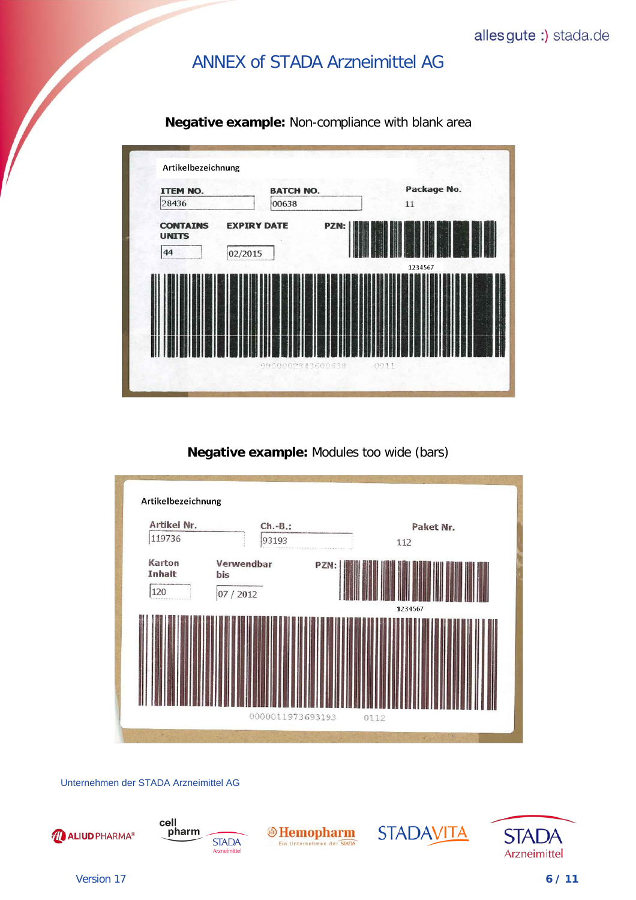

**Negative example:** Non-compliance with blank area

#### **Negative example:** Modules too wide (bars)



Unternehmen der STADA Arzneimittel AG







**STADAVITA** 



Version 17 **6 / 11**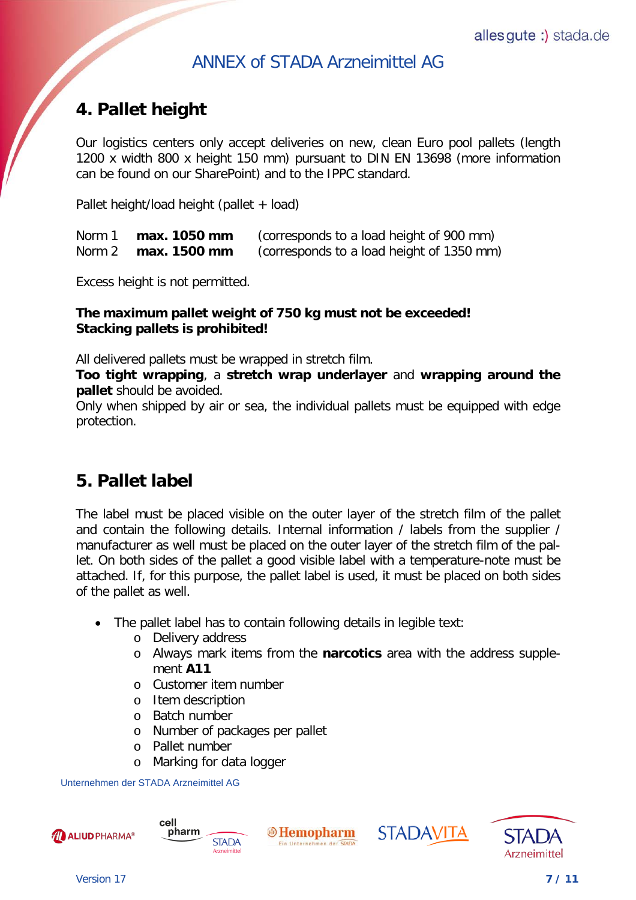# <span id="page-6-0"></span>**[4. Pallet height](#page-0-0)**

Our logistics centers only accept deliveries on new, clean Euro pool pallets (length 1200 x width 800 x height 150 mm) pursuant to DIN EN 13698 (more information can be found on our SharePoint) and to the IPPC standard.

Pallet height/load height (pallet + load)

| Norm 1 | max. 1050 mm | (corresponds to a load height of 900 mm)  |
|--------|--------------|-------------------------------------------|
| Norm 2 | max. 1500 mm | (corresponds to a load height of 1350 mm) |

Excess height is not permitted.

#### **The maximum pallet weight of 750 kg must not be exceeded! Stacking pallets is prohibited!**

All delivered pallets must be wrapped in stretch film.

**Too tight wrapping**, a **stretch wrap underlayer** and **wrapping around the pallet** should be avoided.

Only when shipped by air or sea, the individual pallets must be equipped with edge protection.

## <span id="page-6-1"></span>**[5. Pallet label](#page-0-0)**

The label must be placed visible on the outer layer of the stretch film of the pallet and contain the following details. Internal information / labels from the supplier / manufacturer as well must be placed on the outer layer of the stretch film of the pallet. On both sides of the pallet a good visible label with a temperature-note must be attached. If, for this purpose, the pallet label is used, it must be placed on both sides of the pallet as well.

 $\oplus$  Hemopharm

Ein Unternehmen der STAD

- The pallet label has to contain following details in legible text:
	- o Delivery address
	- o Always mark items from the **narcotics** area with the address supplement **A11**

**STADAVITA** 

- o Customer item number
- o Item description
- o Batch number
- o Number of packages per pallet

**STADA** 

- o Pallet number
- o Marking for data logger

Unternehmen der STADA Arzneimittel AG

cell

pharm



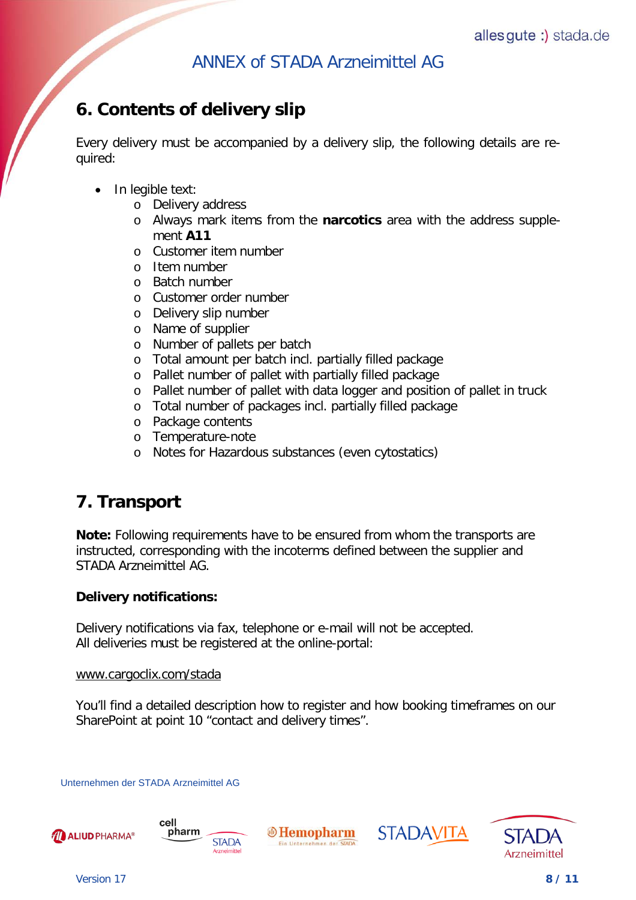# <span id="page-7-0"></span>**[6. Contents of delivery slip](#page-0-0)**

Every delivery must be accompanied by a delivery slip, the following details are required:

- In legible text:
	- o Delivery address
	- o Always mark items from the **narcotics** area with the address supplement **A11**
	- o Customer item number
	- o Item number
	- o Batch number
	- o Customer order number
	- o Delivery slip number
	- o Name of supplier
	- o Number of pallets per batch
	- o Total amount per batch incl. partially filled package
	- o Pallet number of pallet with partially filled package
	- o Pallet number of pallet with data logger and position of pallet in truck
	- o Total number of packages incl. partially filled package
	- o Package contents
	- o Temperature-note
	- o Notes for Hazardous substances (even cytostatics)

## <span id="page-7-1"></span>**[7. Transport](#page-0-0)**

**Note:** Following requirements have to be ensured from whom the transports are instructed, corresponding with the incoterms defined between the supplier and STADA Arzneimittel AG.

#### **Delivery notifications:**

Delivery notifications via fax, telephone or e-mail will not be accepted. All deliveries must be registered at the online-portal:

#### www.cargoclix.com/stada

You'll find a detailed description how to register and how booking timeframes on our SharePoint at point 10 "contact and delivery times".

Unternehmen der STADA Arzneimittel AG





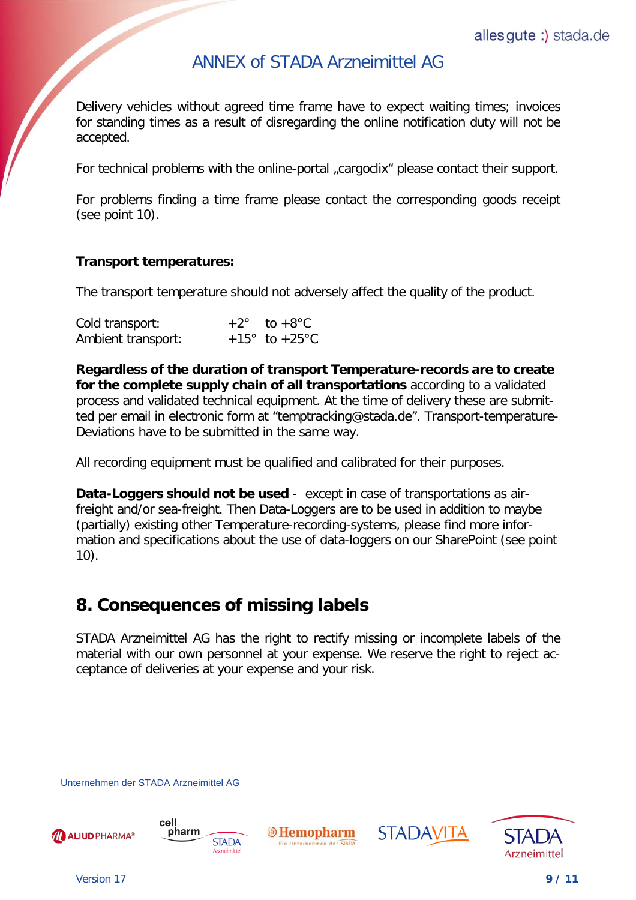Delivery vehicles without agreed time frame have to expect waiting times; invoices for standing times as a result of disregarding the online notification duty will not be accepted.

For technical problems with the online-portal "cargoclix" please contact their support.

For problems finding a time frame please contact the corresponding goods receipt (see point 10).

#### **Transport temperatures:**

The transport temperature should not adversely affect the quality of the product.

| Cold transport:    | $+2^\circ$ to $+8^\circ$ C       |
|--------------------|----------------------------------|
| Ambient transport: | $+15^{\circ}$ to $+25^{\circ}$ C |

**Regardless of the duration of transport Temperature-records are to create for the complete supply chain of all transportations** according to a validated process and validated technical equipment. At the time of delivery these are submitted per email in electronic form at "temptracking@stada.de". Transport-temperature-Deviations have to be submitted in the same way.

All recording equipment must be qualified and calibrated for their purposes.

**Data-Loggers should not be used** - except in case of transportations as airfreight and/or sea-freight. Then Data-Loggers are to be used in addition to maybe (partially) existing other Temperature-recording-systems, please find more information and specifications about the use of data-loggers on our SharePoint (see point 10).

## <span id="page-8-0"></span>**[8. Consequences of missing labels](#page-0-0)**

STADA Arzneimittel AG has the right to rectify missing or incomplete labels of the material with our own personnel at your expense. We reserve the right to reject acceptance of deliveries at your expense and your risk.

Unternehmen der STADA Arzneimittel AG







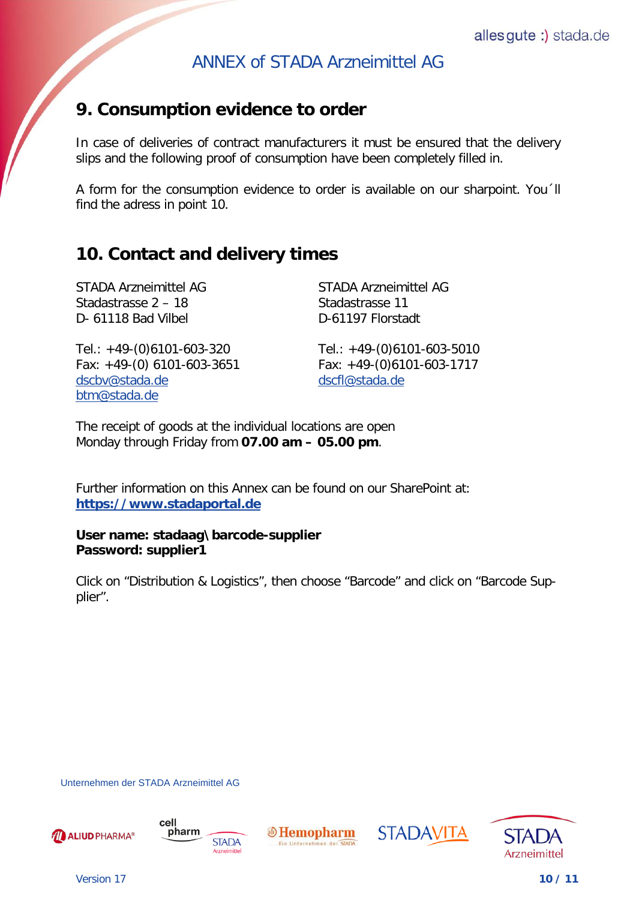## <span id="page-9-0"></span>**[9. Consumption evidence](#page-0-0) to order**

In case of deliveries of contract manufacturers it must be ensured that the delivery slips and the following proof of consumption have been completely filled in.

A form for the consumption evidence to order is available on our sharpoint. You´ll find the adress in point 10.

## <span id="page-9-1"></span>**[10. Contact and delivery times](#page-0-0)**

Stadastrasse 2 – 18 Stadastrasse 11 D-61118 Bad Vilbel D-61197 Florstadt

STADA Arzneimittel AG STADA Arzneimittel AG

Tel.: +49-(0)6101-603-320 Tel.: +49-(0)6101-603-5010 Fax: +49-(0) 6101-603-3651 Fax: +49-(0)6101-603-1717 [dscbv@stada.de](mailto:dscbv@stada.de) dscfl@stada.de btm@stada.de

The receipt of goods at the individual locations are open Monday through Friday from **07.00 am – 05.00 pm**.

Further information on this Annex can be found on our SharePoint at: **https://www.stadaportal.de**

#### **User name: stadaag\barcode-supplier Password: supplier1**

Click on "Distribution & Logistics", then choose "Barcode" and click on "Barcode Supplier".

Unternehmen der STADA Arzneimittel AG